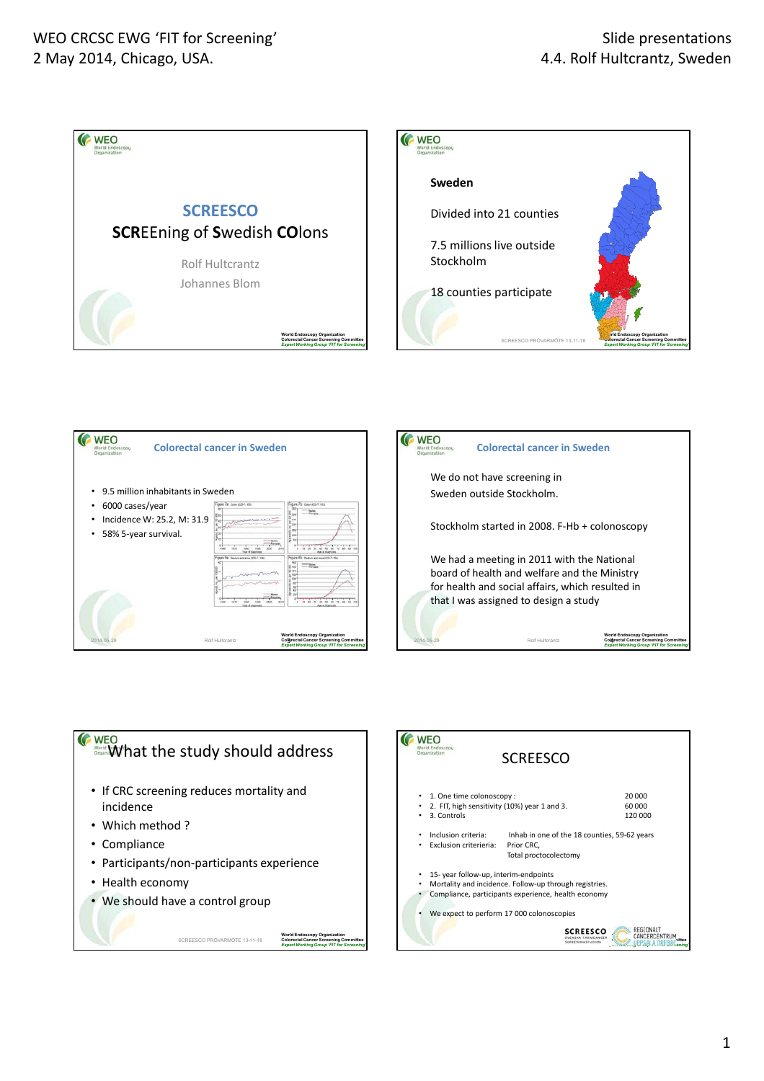







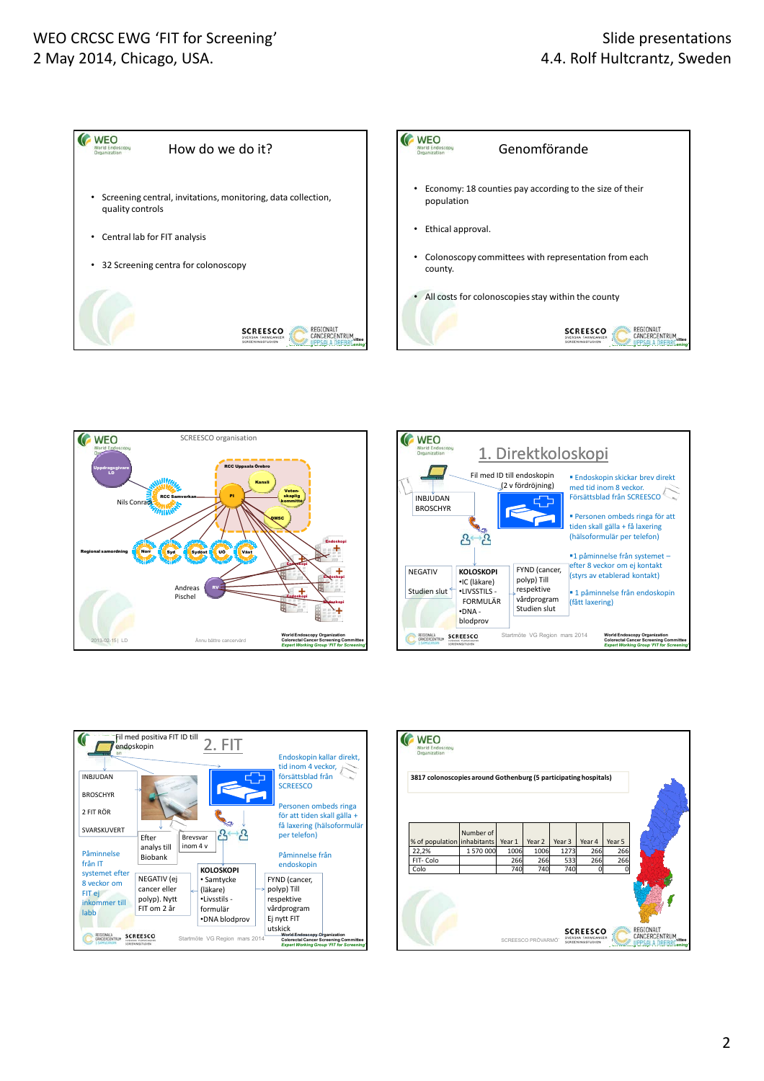## WEO CRCSC EWG 'FIT for Screening' 2 May 2014, Chicago, USA.